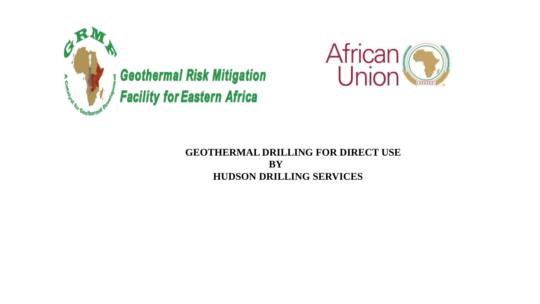



# **GEOTHERMAL DRILLING FOR DIRECT USE BY HUDSON DRILLING SERVICES**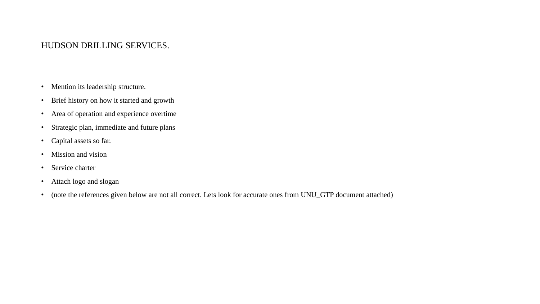## HUDSON DRILLING SERVICES.

- Mention its leadership structure.
- Brief history on how it started and growth
- Area of operation and experience overtime
- Strategic plan, immediate and future plans
- Capital assets so far.
- Mission and vision
- Service charter
- Attach logo and slogan
- (note the references given below are not all correct. Lets look for accurate ones from UNU\_GTP document attached)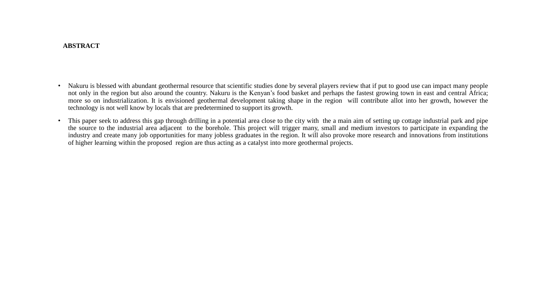#### **ABSTRACT**

- Nakuru is blessed with abundant geothermal resource that scientific studies done by several players review that if put to good use can impact many people not only in the region but also around the country. Nakuru is the Kenyan's food basket and perhaps the fastest growing town in east and central Africa; more so on industrialization. It is envisioned geothermal development taking shape in the region will contribute allot into her growth, however the technology is not well know by locals that are predetermined to support its growth.
- This paper seek to address this gap through drilling in a potential area close to the city with the a main aim of setting up cottage industrial park and pipe the source to the industrial area adjacent to the borehole. This project will trigger many, small and medium investors to participate in expanding the industry and create many job opportunities for many jobless graduates in the region. It will also provoke more research and innovations from institutions of higher learning within the proposed region are thus acting as a catalyst into more geothermal projects.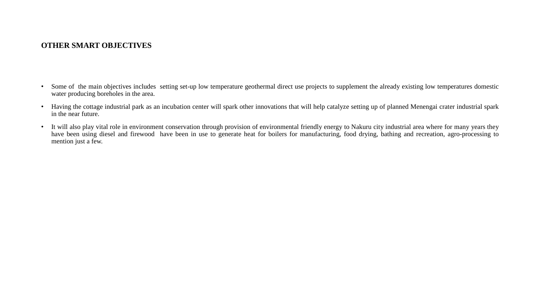## **OTHER SMART OBJECTIVES**

- Some of the main objectives includes setting set-up low temperature geothermal direct use projects to supplement the already existing low temperatures domestic water producing boreholes in the area.
- Having the cottage industrial park as an incubation center will spark other innovations that will help catalyze setting up of planned Menengai crater industrial spark in the near future.
- It will also play vital role in environment conservation through provision of environmental friendly energy to Nakuru city industrial area where for many years they have been using diesel and firewood have been in use to generate heat for boilers for manufacturing, food drying, bathing and recreation, agro-processing to mention just a few.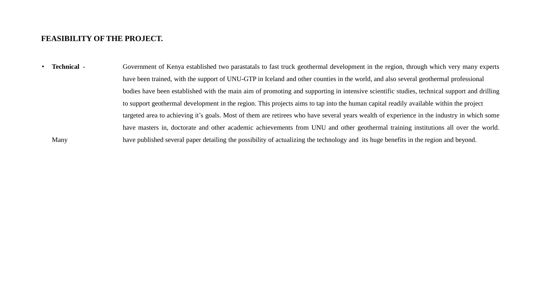### **FEASIBILITY OF THE PROJECT.**

• **Technical** - Government of Kenya established two parastatals to fast truck geothermal development in the region, through which very many experts have been trained, with the support of UNU-GTP in Iceland and other counties in the world, and also several geothermal professional bodies have been established with the main aim of promoting and supporting in intensive scientific studies, technical support and drilling to support geothermal development in the region. This projects aims to tap into the human capital readily available within the project targeted area to achieving it's goals. Most of them are retirees who have several years wealth of experience in the industry in which some have masters in, doctorate and other academic achievements from UNU and other geothermal training institutions all over the world. Many have published several paper detailing the possibility of actualizing the technology and its huge benefits in the region and beyond.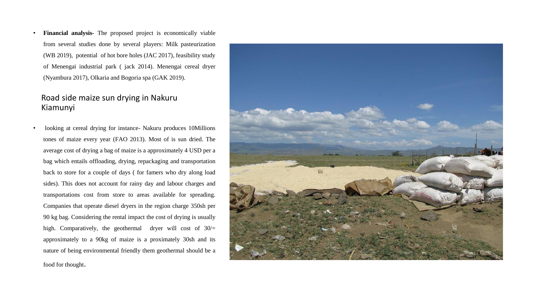• **Financial analysis-** The proposed project is economically viable from several studies done by several players: Milk pasteurization (WB 2019), potential of hot bore holes (JAC 2017), feasibility study of Menengai industrial park ( jack 2014). Menengai cereal dryer (Nyambura 2017), Olkaria and Bogoria spa (GAK 2019).

## Road side maize sun drying in Nakuru Kiamunyi

• looking at cereal drying for instance- Nakuru produces 10Millions tones of maize every year (FAO 2013). Most of is sun dried. The average cost of drying a bag of maize is a approximately 4 USD per a bag which entails offloading, drying, repackaging and transportation back to store for a couple of days ( for famers who dry along load sides). This does not account for rainy day and labour charges and transportations cost from store to areas available for spreading. Companies that operate diesel dryers in the region charge 350sh per 90 kg bag. Considering the rental impact the cost of drying is usually high. Comparatively, the geothermal dryer will cost of  $30/$ = approximately to a 90kg of maize is a proximately 30sh and its nature of being environmental friendly them geothermal should be a food for thought.

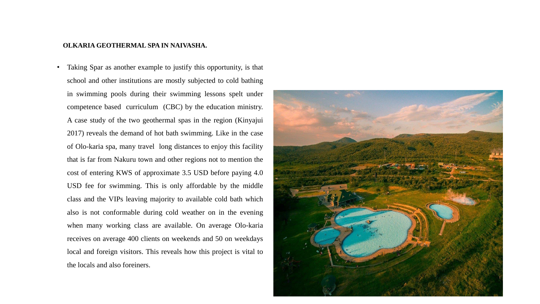#### **OLKARIA GEOTHERMAL SPA IN NAIVASHA.**

• Taking Spar as another example to justify this opportunity, is that school and other institutions are mostly subjected to cold bathing in swimming pools during their swimming lessons spelt under competence based curriculum (CBC) by the education ministry. A case study of the two geothermal spas in the region (Kinyajui 2017) reveals the demand of hot bath swimming. Like in the case of Olo-karia spa, many travel long distances to enjoy this facility that is far from Nakuru town and other regions not to mention the cost of entering KWS of approximate 3.5 USD before paying 4.0 USD fee for swimming. This is only affordable by the middle class and the VIPs leaving majority to available cold bath which also is not conformable during cold weather on in the evening when many working class are available. On average Olo-karia receives on average 400 clients on weekends and 50 on weekdays local and foreign visitors. This reveals how this project is vital to the locals and also foreiners.